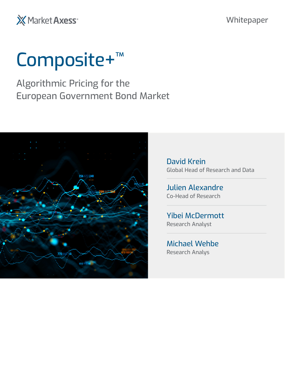X Market Axess<sup>®</sup>

#### Whitepaper

# Composite+<sup>™</sup>

Algorithmic Pricing for the European Government Bond Market



David Krein Global Head of Research and Data

Julien Alexandre Co-Head of Research

Yibei McDermott Research Analyst

Michael Wehbe Research Analys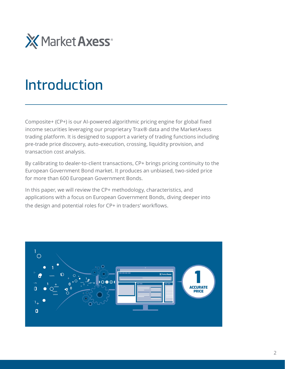

## Introduction

Composite+ (CP+) is our AI-powered algorithmic pricing engine for global fixed income securities leveraging our proprietary Trax® data and the MarketAxess trading platform. It is designed to support a variety of trading functions including pre-trade price discovery, auto-execution, crossing, liquidity provision, and transaction cost analysis.

By calibrating to dealer-to-client transactions, CP+ brings pricing continuity to the European Government Bond market. It produces an unbiased, two-sided price for more than 600 European Government Bonds.

In this paper, we will review the CP+ methodology, characteristics, and applications with a focus on European Government Bonds, diving deeper into the design and potential roles for CP+ in traders' workflows.

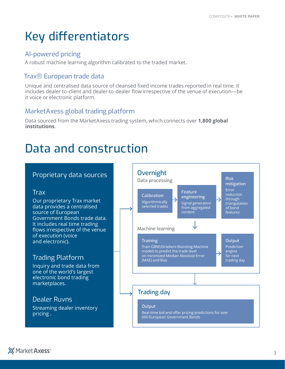### Key differentiators

#### AI-powered pricing

A robust machine learning algorithm calibrated to the traded market.

#### Trax® European trade data

Unique and centralised data source of cleansed fixed income trades reported in real time. It includes dealer-to-client and dealer-to-dealer flow irrespective of the venue of execution—be it voice or electronic platform.

#### MarketAxess global trading platform

Data sourced from the MarketAxess trading system, which connects over **1,800 global institutions**.

### Data and construction

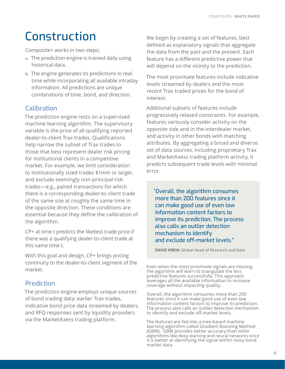### Construction

Composite+ works in two steps:

- a. The prediction engine is trained daily using historical data.
- b. The engine generates its predictions in realtime while incorporating all available intraday information. All predictions are unique combinations of time, bond, and direction.

#### **Calibration**

The prediction engine rests on a supervised machine learning algorithm. The supervisory variable is the price of all qualifying reported dealer-to-client Trax trades. Qualifications help narrow the subset of Trax trades to those that best represent dealer risk pricing for institutional clients in a competitive market. For example, we limit consideration to institutionally sized trades \$1mm or larger, and exclude seemingly non-principal risk trades—e.g., paired transactions for which there is a corresponding dealer-to-client trade of the same size at roughly the same time in the opposite direction. These conditions are essential because they define the calibration of the algorithm.

CP+ at time t predicts the likeliest trade price if there was a qualifying dealer-to-client trade at this same time t.

With this goal and design, CP+ brings pricing continuity to the dealer-to-client segment of the market.

#### Prediction

The prediction engine employs unique sources of bond trading data: earlier Trax trades, indicative bond price data streamed by dealers, and RFQ responses sent by liquidity providers via the MarketAxess trading platform.

We begin by creating a set of features, best defined as explanatory signals that aggregate the data from the past and the present. Each feature has a different predictive power that will depend on the vicinity to the prediction.

The most proximate features include indicative levels streamed by dealers and the most recent Trax traded prices for the bond of interest.

Additional subsets of features include progressively relaxed constraints. For example, features variously consider activity on the opposite side and in the interdealer market, and activity in other bonds with matching attributes. By aggregating a broad and diverse set of data sources, including proprietary Trax and MarketAxess trading platform activity, it predicts subsequent trade levels with minimal error.

"Overall, the algorithm consumes more than 200 features since it can make good use of even low information content factors to improve its prediction. The process also calls an outlier detection mechanism to identify and exclude off-market levels."

 **DAVID KREIN,** Global Head of Research and Data

Even when the most proximate signals are missing, the algorithm will learn to triangulate the less predictive features successfully. This approach leverages all the available information to increase coverage without impacting quality.

Overall, the algorithm consumes more than 200 features since it can make good use of even low information content factors to improve its prediction. The process also calls an outlier detection mechanism to identify and exclude off-market levels.

The features are fed into a tree-based machine learning algorithm called Gradient Boosting Method (GBM). GBM provides better accuracy than other algorithms like deep learning and neural networks since it is better at identifying the signal within noisy bond market data.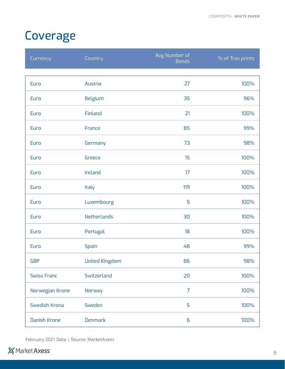### Coverage

| Currency            | Country               | Avg Number of<br>Bonds | % of Trax prints |
|---------------------|-----------------------|------------------------|------------------|
|                     |                       |                        |                  |
| Euro                | Austria               | 27                     | 100%             |
| Euro                | Belgium               | 35                     | 96%              |
| Euro                | Finland               | 21                     | 100%             |
| Euro                | France                | 85                     | 99%              |
| Euro                | Germany               | 73                     | 98%              |
| Euro                | Greece                | 15                     | 100%             |
| Euro                | Ireland               | 17                     | 100%             |
| Euro                | Italy                 | 119                    | 100%             |
| Euro                | Luxembourg            | 5                      | 100%             |
| Euro                | Netherlands           | 30                     | 100%             |
| Euro                | Portugal              | 18                     | 100%             |
| Euro                | Spain                 | 48                     | 99%              |
| <b>GBP</b>          | <b>United Kingdom</b> | 86                     | 98%              |
| <b>Swiss Franc</b>  | Switzerland           | 20                     | 100%             |
| Norwegian Krone     | Norway                | $\overline{7}$         | 100%             |
| Swedish Krona       | Sweden                | 5                      | 100%             |
| <b>Danish Krone</b> | <b>Denmark</b>        | 6                      | 100%             |

February 2021 Data | Source: MarketAxess

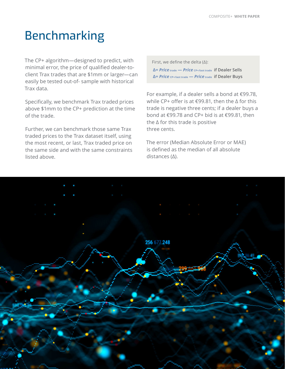### Benchmarking

The CP+ algorithm—designed to predict, with minimal error, the price of qualified dealer-toclient Trax trades that are \$1mm or larger—can easily be tested out-of- sample with historical Trax data.

Specifically, we benchmark Trax traded prices above \$1mm to the CP+ prediction at the time of the trade.

Further, we can benchmark those same Trax traded prices to the Trax dataset itself, using the most recent, or last, Trax traded price on the same side and with the same constraints listed above.

 First, we define the delta (Δ): **Δ=** *Price* **trade —** *Price* **CP+/last trade if Dealer Sells Δ=** *Price* **CP+/last trade —** *Price* **trade if Dealer Buys**

For example, if a dealer sells a bond at €99.78, while CP+ offer is at €99.81, then the Δ for this trade is negative three cents; if a dealer buys a bond at €99.78 and CP+ bid is at €99.81, then the Δ for this trade is positive three cents.

The error (Median Absolute Error or MAE) is defined as the median of all absolute distances (Δ).

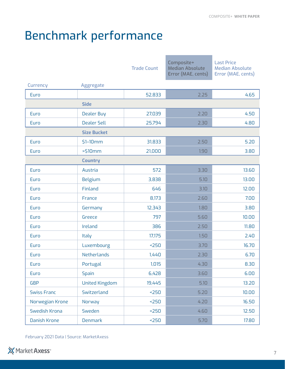### Benchmark performance

|                    |                       | <b>Trade Count</b> | Composite+<br><b>Median Absolute</b><br>Error (MAE, cents) | <b>Last Price</b><br><b>Median Absolute</b><br>Error (MAE, cents) |  |  |
|--------------------|-----------------------|--------------------|------------------------------------------------------------|-------------------------------------------------------------------|--|--|
| Currency           | Aggregate             |                    |                                                            |                                                                   |  |  |
| Euro               |                       | 52,833             | 2.25                                                       | 4.65                                                              |  |  |
| <b>Side</b>        |                       |                    |                                                            |                                                                   |  |  |
| Euro               | <b>Dealer Buy</b>     | 27,039             | 2.20                                                       | 4.50                                                              |  |  |
| Euro               | <b>Dealer Sell</b>    | 25,794             | 2.30                                                       | 4.80                                                              |  |  |
| <b>Size Bucket</b> |                       |                    |                                                            |                                                                   |  |  |
| Euro               | $$1-10mm$             | 31,833             | 2.50                                                       | 5.20                                                              |  |  |
| Euro               | $>$ \$10 $mm$         | 21,000             | 1.90                                                       | 3.80                                                              |  |  |
| <b>Country</b>     |                       |                    |                                                            |                                                                   |  |  |
| Euro               | Austria               | 572                | 3.30                                                       | 13.60                                                             |  |  |
| Euro               | Belgium               | 3,838              | 5.10                                                       | 13.00                                                             |  |  |
| Euro               | Finland               | 646                | 3.10                                                       | 12.00                                                             |  |  |
| Euro               | France                | 8,173              | 2.60                                                       | 7.00                                                              |  |  |
| Euro               | Germany               | 12,343             | 1.80                                                       | 3.80                                                              |  |  |
| Euro               | Greece                | 797                | 5.60                                                       | 10.00                                                             |  |  |
| Euro               | Ireland               | 386                | 2.50                                                       | 11.80                                                             |  |  |
| Euro               | Italy                 | 17,175             | 1.50                                                       | 2.40                                                              |  |  |
| Euro               | Luxembourg            | 250                | 3.70                                                       | 16.70                                                             |  |  |
| Euro               | Netherlands           | 1,440              | 2.30                                                       | 6.70                                                              |  |  |
| Euro               | Portugal              | 1,015              | 4.30                                                       | 8.30                                                              |  |  |
| Euro               | <b>Spain</b>          | 6,428              | 3.60                                                       | 6.00                                                              |  |  |
| <b>GBP</b>         | <b>United Kingdom</b> | 19,445             | 5.10                                                       | 13.20                                                             |  |  |
| <b>Swiss Franc</b> | Switzerland           | 250                | 5.20                                                       | 10.00                                                             |  |  |
| Norwegian Krone    | Norway                | 250                | 4.20                                                       | 16.50                                                             |  |  |
| Swedish Krona      | Sweden                | 250                | 4.60                                                       | 12.50                                                             |  |  |
| Danish Krone       | Denmark               | 250                | 5.70                                                       | 17.80                                                             |  |  |

February 2021 Data | Source: MarketAxess

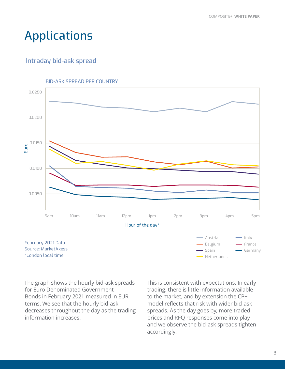#### Applications

#### Intraday bid-ask spread





The graph shows the hourly bid-ask spreads for Euro Denominated Government Bonds in February 2021 measured in EUR terms. We see that the hourly bid-ask decreases throughout the day as the trading information increases.

This is consistent with expectations. In early trading, there is little information available to the market, and by extension the CP+ model reflects that risk with wider bid-ask spreads. As the day goes by, more traded prices and RFQ responses come into play and we observe the bid-ask spreads tighten accordingly.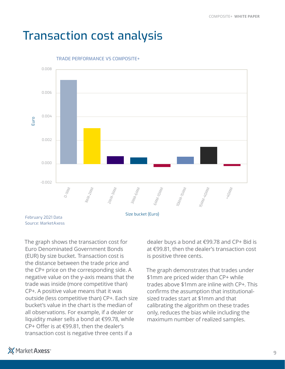#### Transaction cost analysis



TRADE PERFORMANCE VS COMPOSITE+

Source: MarketAxess

The graph shows the transaction cost for Euro Denominated Government Bonds (EUR) by size bucket. Transaction cost is the distance between the trade price and the CP+ price on the corresponding side. A negative value on the y-axis means that the trade was inside (more competitive than) CP+. A positive value means that it was outside (less competitive than) CP+. Each size bucket's value in the chart is the median of all observations. For example, if a dealer or liquidity maker sells a bond at €99.78, while CP+ Offer is at €99.81, then the dealer's transaction cost is negative three cents if a

dealer buys a bond at €99.78 and CP+ Bid is at €99.81, then the dealer's transaction cost is positive three cents.

The graph demonstrates that trades under \$1mm are priced wider than CP+ while trades above \$1mm are inline with CP+. This confirms the assumption that institutionalsized trades start at \$1mm and that calibrating the algorithm on these trades only, reduces the bias while including the maximum number of realized samples.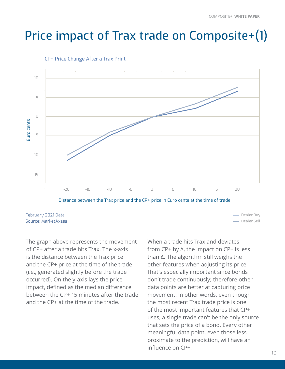### Price impact of Trax trade on Composite+(1)



CP+ Price Change After a Trax Print

February 2021 Data Source: MarketAxess

The graph above represents the movement of CP+ after a trade hits Trax. The x-axis is the distance between the Trax price and the CP+ price at the time of the trade (i.e., generated slightly before the trade occurred). On the y-axis lays the price impact, defined as the median difference between the CP+ 15 minutes after the trade and the CP+ at the time of the trade.

When a trade hits Trax and deviates from CP+ by Δ, the impact on CP+ is less than Δ. The algorithm still weighs the other features when adjusting its price. That's especially important since bonds don't trade continuously; therefore other data points are better at capturing price movement. In other words, even though the most recent Trax trade price is one of the most important features that CP+ uses, a single trade can't be the only source that sets the price of a bond. Every other meaningful data point, even those less proximate to the prediction, will have an influence on CP+.

Dealer Sell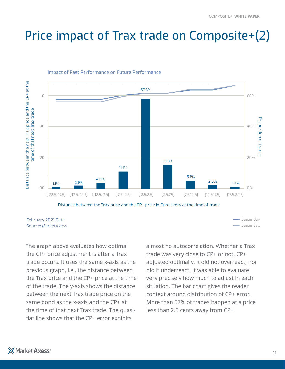### Price impact of Trax trade on Composite+(2)



#### Impact of Past Performance on Future Performance

February 2021 Data Source: MarketAxess

The graph above evaluates how optimal the CP+ price adjustment is after a Trax trade occurs. It uses the same x-axis as the previous graph, i.e., the distance between the Trax price and the CP+ price at the time of the trade. The y-axis shows the distance between the next Trax trade price on the same bond as the x-axis and the CP+ at the time of that next Trax trade. The quasiflat line shows that the CP+ error exhibits

almost no autocorrelation. Whether a Trax trade was very close to CP+ or not, CP+ adjusted optimally. It did not overreact, nor did it underreact. It was able to evaluate very precisely how much to adjust in each situation. The bar chart gives the reader context around distribution of CP+ error. More than 57% of trades happen at a price less than 2.5 cents away from CP+.

**-** Dealer Sell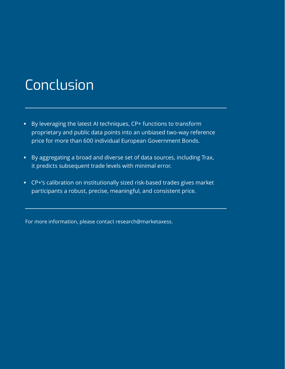# Conclusion

- By leveraging the latest AI techniques, CP+ functions to transform proprietary and public data points into an unbiased two-way reference price for more than 600 individual European Government Bonds.
- By aggregating a broad and diverse set of data sources, including Trax, it predicts subsequent trade levels with minimal error.
- CP+'s calibration on institutionally sized risk-based trades gives market participants a robust, precise, meaningful, and consistent price.

For more information, please contact research@marketaxess.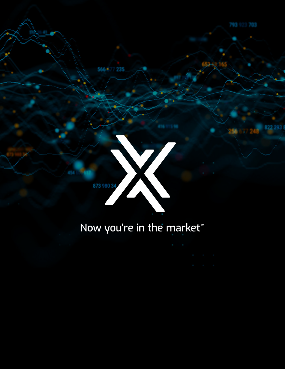